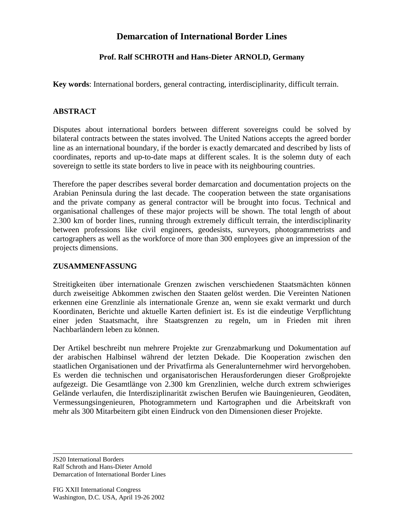## **Demarcation of International Border Lines**

### **Prof. Ralf SCHROTH and Hans-Dieter ARNOLD, Germany**

**Key words**: International borders, general contracting, interdisciplinarity, difficult terrain.

#### **ABSTRACT**

Disputes about international borders between different sovereigns could be solved by bilateral contracts between the states involved. The United Nations accepts the agreed border line as an international boundary, if the border is exactly demarcated and described by lists of coordinates, reports and up-to-date maps at different scales. It is the solemn duty of each sovereign to settle its state borders to live in peace with its neighbouring countries.

Therefore the paper describes several border demarcation and documentation projects on the Arabian Peninsula during the last decade. The cooperation between the state organisations and the private company as general contractor will be brought into focus. Technical and organisational challenges of these major projects will be shown. The total length of about 2.300 km of border lines, running through extremely difficult terrain, the interdisciplinarity between professions like civil engineers, geodesists, surveyors, photogrammetrists and cartographers as well as the workforce of more than 300 employees give an impression of the projects dimensions.

#### **ZUSAMMENFASSUNG**

Streitigkeiten über internationale Grenzen zwischen verschiedenen Staatsmächten können durch zweiseitige Abkommen zwischen den Staaten gelöst werden. Die Vereinten Nationen erkennen eine Grenzlinie als internationale Grenze an, wenn sie exakt vermarkt und durch Koordinaten, Berichte und aktuelle Karten definiert ist. Es ist die eindeutige Verpflichtung einer jeden Staatsmacht, ihre Staatsgrenzen zu regeln, um in Frieden mit ihren Nachbarländern leben zu können.

Der Artikel beschreibt nun mehrere Projekte zur Grenzabmarkung und Dokumentation auf der arabischen Halbinsel während der letzten Dekade. Die Kooperation zwischen den staatlichen Organisationen und der Privatfirma als Generalunternehmer wird hervorgehoben. Es werden die technischen und organisatorischen Herausforderungen dieser Großprojekte aufgezeigt. Die Gesamtlänge von 2.300 km Grenzlinien, welche durch extrem schwieriges Gelände verlaufen, die Interdisziplinarität zwischen Berufen wie Bauingenieuren, Geodäten, Vermessungsingenieuren, Photogrammetern und Kartographen und die Arbeitskraft von mehr als 300 Mitarbeitern gibt einen Eindruck von den Dimensionen dieser Projekte.

JS20 International Borders Ralf Schroth and Hans-Dieter Arnold Demarcation of International Border Lines